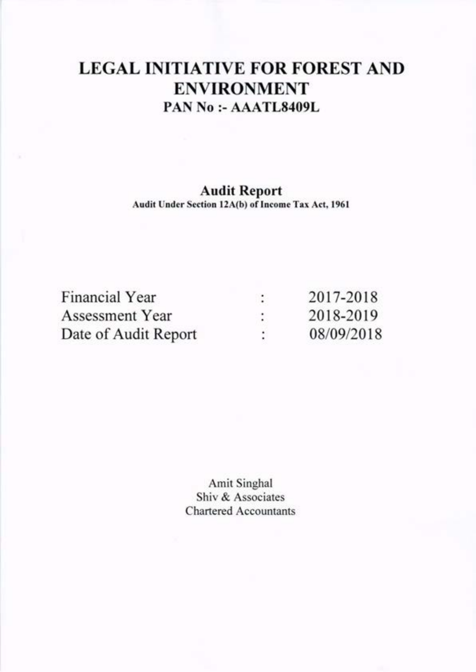# LEGAL INITIATIVE FOR FOREST AND ENVIRONMENT PAN No :- AAATL8409L

# Audit Report

Audit Under Section 12A(b) of Income Tax Act, 1961

| Financial Year       | ٠      | 2017-2018  |
|----------------------|--------|------------|
| Assessment Year      | ٠<br>٠ | 2018-2019  |
| Date of Audit Report | ÷      | 08/09/2018 |

Amit Singhal Shiv & Associates Chartered Accountants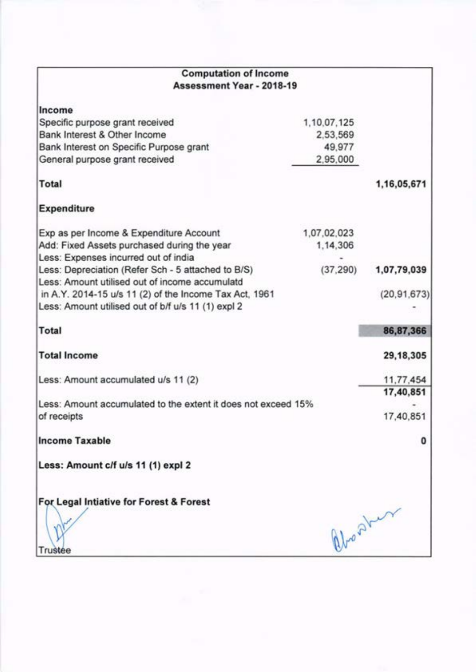| <b>Computation of Income</b>                                                                         |             |               |
|------------------------------------------------------------------------------------------------------|-------------|---------------|
| Assessment Year - 2018-19                                                                            |             |               |
| Income                                                                                               |             |               |
| Specific purpose grant received                                                                      | 1,10,07,125 |               |
| Bank Interest & Other Income                                                                         | 2,53,569    |               |
| Bank Interest on Specific Purpose grant                                                              | 49,977      |               |
| General purpose grant received                                                                       | 2,95,000    |               |
| Total                                                                                                |             | 1,16,05,671   |
| <b>Expenditure</b>                                                                                   |             |               |
| Exp as per Income & Expenditure Account                                                              | 1,07,02,023 |               |
| Add: Fixed Assets purchased during the year<br>Less: Expenses incurred out of india                  | 1,14,306    |               |
| Less: Depreciation (Refer Sch - 5 attached to B/S)<br>Less: Amount utilised out of income accumulatd | (37, 290)   | 1,07,79,039   |
| in A.Y. 2014-15 u/s 11 (2) of the Income Tax Act, 1961                                               |             | (20, 91, 673) |
| Less: Amount utilised out of b/f u/s 11 (1) expl 2                                                   |             |               |
| <b>Total</b>                                                                                         |             | 86,87,366     |
| <b>Total Income</b>                                                                                  |             | 29,18,305     |
| Less: Amount accumulated u/s 11 (2)                                                                  |             | 11,77,454     |
|                                                                                                      |             | 17,40,851     |
| Less: Amount accumulated to the extent it does not exceed 15%<br>of receipts                         |             | 17,40,851     |
| <b>Income Taxable</b>                                                                                |             |               |
| Less: Amount c/f u/s 11 (1) expl 2                                                                   |             |               |
| For Legal Intiative for Forest & Forest                                                              |             |               |
|                                                                                                      |             | abort         |
|                                                                                                      |             |               |
|                                                                                                      |             |               |
| Trustee                                                                                              |             |               |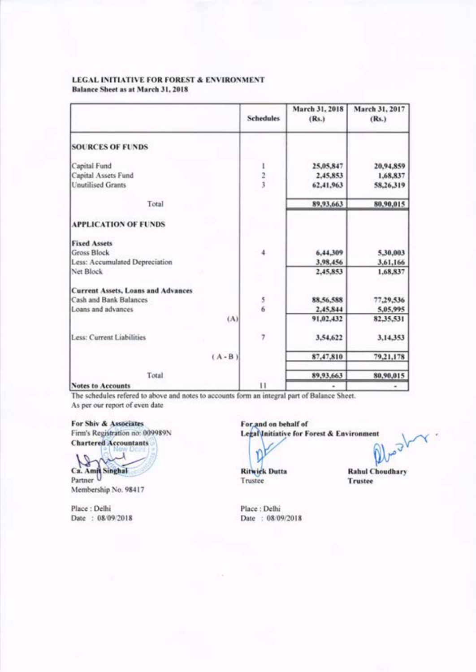Balance Sheet as at March 31, 2018

|                                           | <b>Schedules</b> | March 31, 2018<br>(Rs.) | March 31, 2017<br>(Rs.) |
|-------------------------------------------|------------------|-------------------------|-------------------------|
| <b>SOURCES OF FUNDS</b>                   |                  |                         |                         |
| Capital Fund                              |                  | 25,05,847               | 20,94,859               |
| Capital Assets Fund                       | $\frac{2}{3}$    | 2,45,853                | 1,68,837                |
| <b>Unutilised Grants</b>                  |                  | 62,41,963               | 58,26,319               |
| Total                                     |                  | 89,93,663               | 80,90,015               |
| <b>APPLICATION OF FUNDS</b>               |                  |                         |                         |
| <b>Fixed Assets</b>                       |                  |                         |                         |
| <b>Gross Block</b>                        | 4                | 6,44,309                | 5,30,003                |
| Less: Accumulated Depreciation            |                  | 3,98,456                | 3,61,166                |
| Net Block                                 |                  | 2,45,853                | 1,68,837                |
| <b>Current Assets, Loans and Advances</b> |                  |                         |                         |
| Cash and Bank Balances                    | 5                | 88,56,588               | 77,29,536               |
| Loans and advances                        | $\overline{6}$   | 2,45,844                | 5,05,995                |
|                                           | $(\Lambda)$      | 91,02,432               | 82,35,531               |
| Less: Current Liabilities                 | 7                | 3,54,622                | 3,14,353                |
| $(A - B)$                                 |                  | 87,47,810               | 79,21,178               |
| Total                                     |                  | 89,93,663               | 80,90,015               |
| <b>Notes to Accounts</b>                  | $_{11}$          | ٠                       |                         |

The schedules refered to above and notes to accounts form an integral part of Balance Sheet. As per our report of even date

For Shiv & Associates Firm's Registration no: 009989N **Chartered Accountants** 

Ca. Amit Singhal

Membership No. 98417

Place: Delhi Date: 08/09/2018 For and on behalf of Legal Initiative for Forest & Environment

**Ritwick Dutta** 

Trustee

Dea 1 **Rahul Choudhary Trustee** 

Place: Delhi Date: 08/09/2018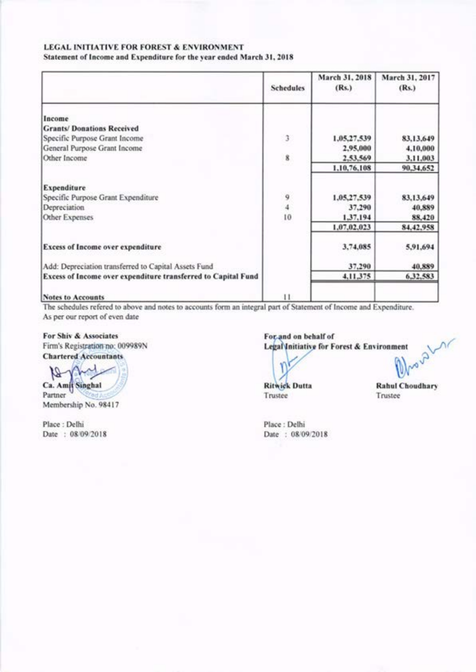Statement of Income and Expenditure for the year ended March 31, 2018

|                                                               | <b>Schedules</b>                            | March 31, 2018<br>(Rs.) | March 31, 2017<br>(Rs.) |
|---------------------------------------------------------------|---------------------------------------------|-------------------------|-------------------------|
| Income                                                        |                                             |                         |                         |
| <b>Grants/Donations Received</b>                              |                                             |                         |                         |
| Specific Purpose Grant Income                                 | 3                                           | 1,05,27,539             | 83,13,649               |
| General Purpose Grant Income                                  |                                             | 2,95,000                | 4,10,000                |
| Other Income                                                  | 8                                           | 2,53,569                | 3,11,003                |
|                                                               |                                             | 1,10,76,108             | 90.34.652               |
| Expenditure                                                   |                                             |                         |                         |
| Specific Purpose Grant Expenditure                            | $\begin{array}{c} 9 \\ 4 \\ 10 \end{array}$ | 1,05,27,539             | 83,13,649               |
| Depreciation                                                  |                                             | 37,290                  | 40,889                  |
| Other Expenses                                                |                                             | 1,37,194                | 88,420                  |
|                                                               |                                             | 1,07,02,023             | 84, 42, 958             |
| <b>Excess of Income over expenditure</b>                      |                                             | 3,74,085                | 5,91,694                |
| Add: Depreciation transferred to Capital Assets Fund          |                                             | 37,290                  | 40,889                  |
| Excess of Income over expenditure transferred to Capital Fund |                                             | 4,11,375                | 6,32,583                |
| <b>Notes to Accounts</b>                                      | $^{11}$                                     |                         |                         |

The schedules refered to above and notes to accounts form an integral part of Statement of Income and Expenditure. As per our report of even date

# For Shiv & Associates Firm's Registration no: 009989N

**Chartered Accountants** 

M Ca. Amit Singhal Partner Membership No. 98417

Place: Delhi Date : 08/09/2018

howahar For and on behalf of Legal Initiative for Forest & Environment

**Ritwick Dutta** Trustee

**Rahul Choudhary** Trustee

Place: Delhi Date: 08/09/2018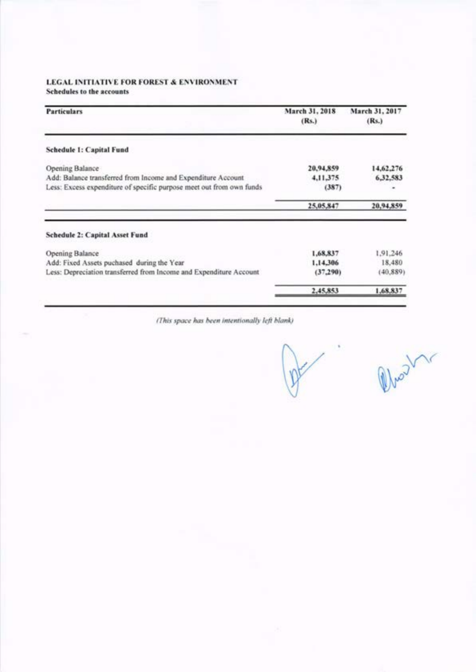Schedules to the accounts

| <b>Particulars</b>                                                                                                                   | March 31, 2018<br>(Rs.) | March 31, 2017<br>(Rs.) |
|--------------------------------------------------------------------------------------------------------------------------------------|-------------------------|-------------------------|
| Schedule 1: Capital Fund                                                                                                             |                         |                         |
| Opening Balance                                                                                                                      | 20,94,859               | 14,62,276               |
| Add: Balance transferred from Income and Expenditure Account<br>Less: Excess expenditure of specific purpose meet out from own funds | 4,11,375<br>(387)       | 6,32,583                |
|                                                                                                                                      | 25,05,847               | 20,94,859               |
| <b>Schedule 2: Capital Asset Fund</b>                                                                                                |                         |                         |
| <b>Opening Balance</b>                                                                                                               | 1,68,837                | 1,91,246                |
| Add: Fixed Assets puchased during the Year                                                                                           | 1.14.306                | 18,480                  |
| Less: Depreciation transferred from Income and Expenditure Account                                                                   | (37, 290)               | (40, 889)               |
|                                                                                                                                      | 2,45,853                | 1,68,837                |

(This space has been intentionally left blank)

Who dr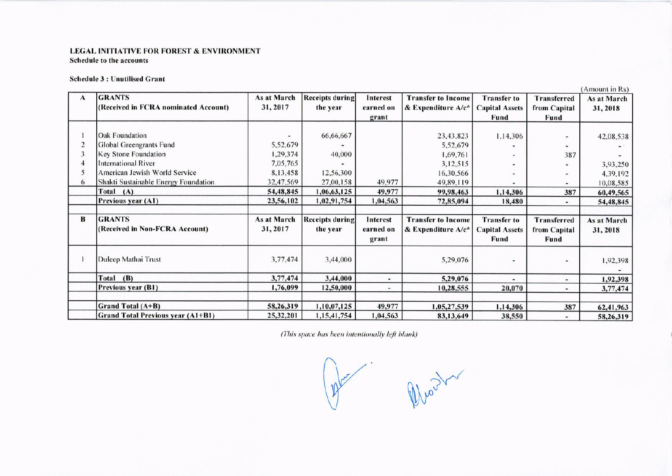# LEGAL INITIATIVE FOR FOREST & ENVIRONMENT Schedule to the accounts

# **Schedule 3: Unutilised Grant**

|   |                                          |             |                        |                 |                           |                       |                          | (Amount in Rs)     |
|---|------------------------------------------|-------------|------------------------|-----------------|---------------------------|-----------------------|--------------------------|--------------------|
| A | <b>GRANTS</b>                            | As at March | <b>Receipts during</b> | Interest        | <b>Transfer to Income</b> | <b>Transfer to</b>    | Transferred              | As at March        |
|   | (Received in FCRA nominated Account)     | 31, 2017    | the year               | earned on       | & Expenditure A/c*        | <b>Capital Assets</b> | from Capital             | 31, 2018           |
|   |                                          |             |                        | grant           |                           | Fund                  | Fund                     |                    |
|   |                                          |             |                        |                 |                           |                       |                          |                    |
|   | <b>Oak Foundation</b>                    |             | 66,66,667              |                 | 23,43,823                 | 1,14,306              | ۰                        | 42,08,538          |
|   | Global Greengrants Fund                  | 5,52,679    |                        |                 | 5,52,679                  |                       | ٠                        |                    |
|   | Key Stone Foundation                     | 1,29,374    | 40,000                 |                 | 1,69,761                  |                       | 387                      |                    |
|   | <b>International River</b>               | 7,05,765    |                        |                 | 3,12,515                  |                       |                          | 3,93,250           |
|   | American Jewish World Service            | 8,13,458    | 12,56,300              |                 | 16,30,566                 |                       | ٠                        | 4,39,192           |
| 6 | Shakti Sustainable Energy Foundation     | 32,47,569   | 27,00,158              | 49,977          | 49,89,119                 |                       | $\overline{\phantom{a}}$ | 10,08,585          |
|   | Total (A)                                | 54,48,845   | 1,06,63,125            | 49,977          | 99,98,463                 | 1,14,306              | 387                      | 60,49,565          |
|   | Previous year (A1)                       | 23,56,102   | 1,02,91,754            | 1,04,563        | 72,85,094                 | 18,480                | ٠                        | 54,48,845          |
|   |                                          |             |                        |                 |                           |                       |                          |                    |
| B | <b>GRANTS</b>                            | As at March | <b>Receipts during</b> | <b>Interest</b> | <b>Transfer to Income</b> | <b>Transfer to</b>    | <b>Transferred</b>       | <b>As at March</b> |
|   | (Received in Non-FCRA Account)           | 31, 2017    | the year               | earned on       | $&$ Expenditure $A/c^*$   | <b>Capital Assets</b> | from Capital             | 31, 2018           |
|   |                                          |             |                        | grant           |                           | <b>Fund</b>           | <b>Fund</b>              |                    |
|   |                                          |             |                        |                 |                           |                       |                          |                    |
|   | Duleep Mathai Trust                      | 3,77,474    | 3,44,000               |                 | 5,29,076                  |                       | ۰                        | 1,92,398           |
|   |                                          |             |                        |                 |                           |                       |                          |                    |
|   | Total (B)                                | 3,77,474    | 3,44,000               | ۰               | 5,29,076                  |                       | ٠.                       | 1,92,398           |
|   | Previous year (B1)                       | 1,76,099    | 12,50,000              | $\blacksquare$  | 10,28,555                 | 20,070                | ٠.                       | 3,77,474           |
|   |                                          |             |                        |                 |                           |                       |                          |                    |
|   | Grand Total (A+B)                        | 58,26,319   | 1,10,07,125            | 49,977          | 1,05,27,539               | 1,14,306              | 387                      | 62,41,963          |
|   | <b>Grand Total Previous year (A1+B1)</b> | 25,32,201   | 1, 15, 41, 754         | 1,04,563        | 83,13,649                 | 38,550                | ۰.                       | 58,26,319          |

(This space has been intentionally left blank)

Who 32  $12$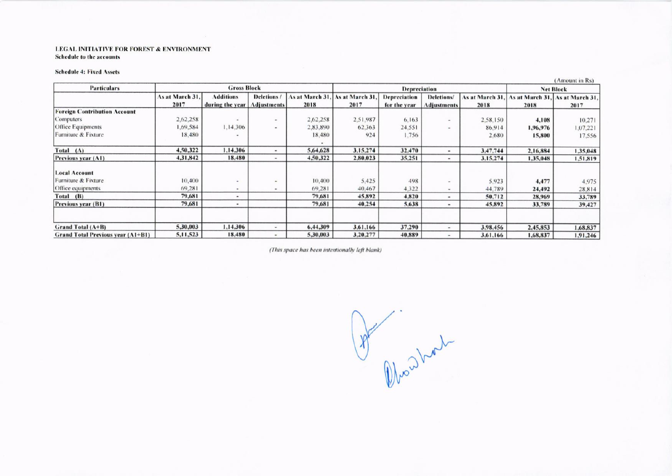#### LEGAL INITIATIVE FOR FOREST & ENVIRONMENT Schedule to the accounts

#### **Schedule 4: Fixed Assets**

|                                          |                 |                    |                              |                 |                     |                     |                              |          |                                 | <b>TAMOUNE IN KST</b> |
|------------------------------------------|-----------------|--------------------|------------------------------|-----------------|---------------------|---------------------|------------------------------|----------|---------------------------------|-----------------------|
| <b>Particulars</b>                       |                 | <b>Gross Block</b> |                              |                 | <b>Depreciation</b> |                     |                              |          | <b>Net Block</b>                |                       |
|                                          | As at March 31, | <b>Additions</b>   | Deletions/                   | As at March 31, | As at March 31.     | <b>Depreciation</b> | Deletions/                   |          | As at March 31, As at March 31, | As at March 31,       |
|                                          | 2017            | during the year    | <b>Adjustments</b>           | 2018            | 2017                | for the year        | <b>Adjustments</b>           | 2018     | 2018                            | 2017                  |
| <b>Foreign Contribution Account</b>      |                 |                    |                              |                 |                     |                     |                              |          |                                 |                       |
| Computers                                | 2,62,258        |                    | $\bullet$                    | 2,62,258        | 2,51,987            | 6,163               | $\qquad \qquad \blacksquare$ | 2,58,150 | 4,108                           | 10,271                |
| Office Equipments                        | 1.69.584        | 1.14.306           | $\qquad \qquad \blacksquare$ | 2,83,890        | 62,363              | 24,551              | $\sim$                       | 86.914   | 1,96,976                        | 1,07,221              |
| Furniture & Fixture                      | 18,480          |                    |                              | 18,480          | 924                 | 1,756               |                              | 2,680    | 15,800                          | 17,556                |
| Total (A)                                | 4,50,322        | 1,14,306           | $\frac{1}{2}$                | 5,64,628        | 3,15,274            | 32,470              | $\overline{\phantom{a}}$     | 3,47,744 | 2,16,884                        | 1,35,048              |
| Previous year (A1)                       | 4,31,842        | 18,480             | $\qquad \qquad =$            | 4,50,322        | 2,80,023            | 35,251              | $\overline{\phantom{a}}$     | 3,15,274 | 1,35,048                        | 1,51,819              |
| <b>Local Account</b>                     |                 |                    |                              |                 |                     |                     |                              |          |                                 |                       |
| Furniture & Fixture                      | 10,400          | $\overline{a}$     | $\sim$                       | 10,400          | 5,425               | 498                 |                              | 5.923    | 4,477                           | 4.975                 |
| Office equipments                        | 69,281          | $\sim$             | $\qquad \qquad \blacksquare$ | 69.281          | 40,467              | 4,322               | $\,$                         | 44,789   | 24,492                          | 28,814                |
| Total (B)                                | 79,681          | ۰                  |                              | 79,681          | 45,892              | 4,820               | $\sim$                       | 50,712   | 28,969                          | 33,789                |
| Previous year (B1)                       | 79,681          | $\qquad \qquad$    |                              | 79,681          | 40,254              | 5,638               | $\qquad \qquad \blacksquare$ | 45,892   | 33,789                          | 39,427                |
| Grand Total (A+B)                        | 5,30,003        | 1,14,306           | ۰                            | 6,44,309        | 3,61,166            | 37,290              | $\overline{\phantom{a}}$     | 3,98,456 | 2,45,853                        | 1,68,837              |
| <b>Grand Total Previous year (A1+B1)</b> | 5,11,523        | 18,480             | $\qquad \qquad \blacksquare$ | 5.30,003        | 3,20,277            | 40,889              | $\overline{\phantom{a}}$     | 3,61,166 | 1,68,837                        | 1,91,246              |

(This space has been intentionally left blank)

Who what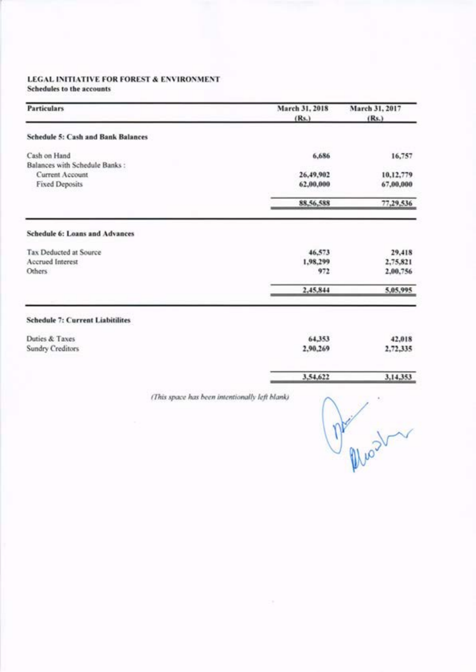Schedules to the accounts

| <b>Particulars</b>                        |                                                | March 31, 2018<br>(Rs.) | March 31, 2017<br>(Rs.) |
|-------------------------------------------|------------------------------------------------|-------------------------|-------------------------|
|                                           |                                                |                         |                         |
| <b>Schedule 5: Cash and Bank Balances</b> |                                                |                         |                         |
| Cash on Hand                              |                                                | 6,686                   | 16,757                  |
| Balances with Schedule Banks:             |                                                |                         |                         |
| Current Account<br><b>Fixed Deposits</b>  |                                                | 26,49,902<br>62,00,000  | 10,12,779<br>67,00,000  |
|                                           |                                                |                         |                         |
|                                           |                                                | 88,56,588               | 77,29,536               |
| <b>Schedule 6: Loans and Advances</b>     |                                                |                         |                         |
| Tax Deducted at Source                    |                                                | 46,573                  | 29,418                  |
| Accrued Interest                          |                                                | 1,98,299                | 2,75,821                |
| Others                                    |                                                | 972                     | 2,00,756                |
|                                           |                                                | 2,45,844                | 5,05,995                |
| <b>Schedule 7: Current Liabitilites</b>   |                                                |                         |                         |
| Duties & Taxes                            |                                                | 64,353                  | 42,018                  |
| <b>Sundry Creditors</b>                   |                                                | 2,90,269                | 2,72,335                |
|                                           |                                                | 3,54,622                | 3,14,353                |
|                                           | (This space has been intentionally left blank) |                         |                         |
|                                           |                                                |                         |                         |
|                                           |                                                |                         |                         |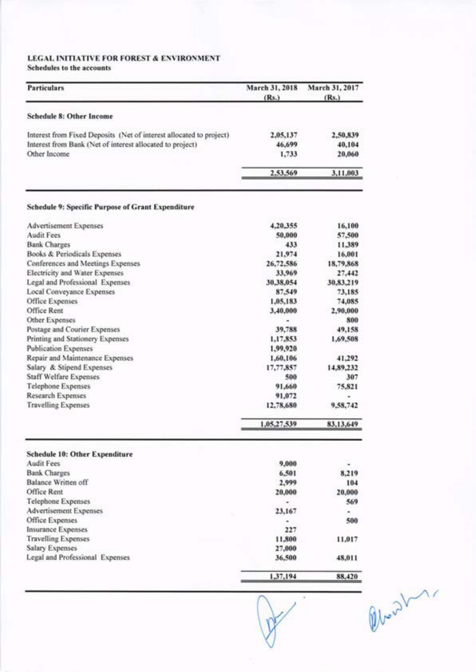# LEGAL INITIATIVE FOR FOREST & ENVIRONMENT Schedules to the accounts

| <b>Particulars</b>                                                  | March 31, 2018<br>(Rs.) | March 31, 2017<br>(Rs.) |
|---------------------------------------------------------------------|-------------------------|-------------------------|
| <b>Schedule 8: Other Income</b>                                     |                         |                         |
| Interest from Fixed Deposits (Net of interest allocated to project) | 2,05,137                | 2,50,839                |
| Interest from Bank (Net of interest allocated to project)           | 46,699                  | 40,104                  |
| Other Income                                                        | 1,733                   | 20,060                  |
|                                                                     | 2,53,569                | 3,11,003                |
| <b>Schedule 9: Specific Purpose of Grant Expenditure</b>            |                         |                         |
| <b>Advertisement Expenses</b>                                       | 4,20,355                | 16,100                  |
| <b>Audit Fees</b>                                                   | 50,000                  | 57,500                  |
| <b>Bank Charges</b>                                                 | 433                     | 11,389                  |
| Books & Periodicals Expenses                                        | 21.974                  | 16,001                  |
| Conferences and Meetings Expenses                                   | 26,72,586               | 18,79,868               |
| Electricity and Water Expenses                                      | 33,969                  | 27,442                  |
| Legal and Professional Expenses                                     | 30,38,054               | 30,83,219               |
| <b>Local Conveyance Expenses</b>                                    | 87,549                  | 73,185                  |
| Office Expenses                                                     | 1,05,183                | 74,085                  |
| Office Rent                                                         | 3,40,000                | 2,90,000                |
| Other Expenses                                                      |                         | 800                     |
| Postage and Courier Expenses                                        | 39,788                  | 49.158                  |
| Printing and Stationery Expenses                                    | 1,17,853                | 1,69,508                |
| <b>Publication Expenses</b>                                         | 1,99,920                |                         |
| Repair and Maintenance Expenses                                     | 1,60,106                | 41,292                  |
| Salary & Stipend Expenses                                           | 17,77,857               | 14,89,232               |
| <b>Staff Welfare Expenses</b>                                       | 500                     | 307                     |
| <b>Telephone Expenses</b>                                           | 91,660                  | 75,821                  |
| Research Expenses                                                   | 91,072                  |                         |
| <b>Travelling Expenses</b>                                          | 12,78,680               | 9,58,742                |
|                                                                     | 1,05,27,539             | 83,13,649               |
| <b>Schedule 10: Other Expenditure</b>                               |                         |                         |
| <b>Audit Fees</b>                                                   | 9,000                   |                         |
| <b>Bank Charges</b>                                                 | 6,501                   | 8,219                   |
| <b>Balance Written off</b>                                          | 2,999                   | 104                     |
| Office Rent                                                         | 20,000                  | 20,000                  |
| <b>Telephone Expenses</b>                                           | ۰                       | 569                     |
| Advertisement Expenses                                              | 23,167                  |                         |
| Office Expenses                                                     | ۰                       | 500                     |
| Insurance Expenses                                                  | 227                     |                         |
| <b>Travelling Expenses</b>                                          | 11,800                  | 11,017                  |
| Salary Expenses                                                     | 27,000                  |                         |
| Legal and Professional Expenses                                     | 36,500                  | 48,011                  |
|                                                                     | 1,37,194                | 88,420                  |

Oben 2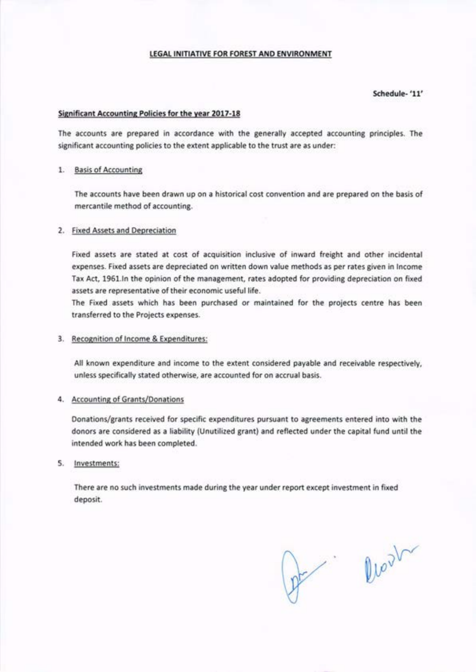# Schedule- '11'

#### Significant Accounting Policies for the year 2017-18

The accounts are prepared in accordance with the generally accepted accounting principles. The significant accounting policies to the extent applicable to the trust are as under:

# 1. Basis of Accounting

The accounts have been drawn up on a historical cost convention and are prepared on the basis of mercantile method of accounting.

# 2. Fixed Assets and Depreciation

Fixed assets are stated at cost of acquisition inclusive of inward freight and other incidental expenses, Fixed assets are depreciated on written down value methods as per rates given in lncome Tax Act, 1961.In the opinion of the management, rates adopted for providing depreciation on fixed assets are representative of their economic useful life.

The fixed assets which has been purchased or maintained for the projects centre has been transferred to the Projeds expenses.

## 3. Recognition of Income & Expenditures:

All known expenditure and income to the extent considered payable and receivable respectively, unless specifically stated otherwise, are accounted for on accrual basis.

### 4. Accounting of Grants/Donations

Donations/grants received for specific expenditures pursuant to agreements entered into with the donors are considered as a liability (Unutilized grant) and reflected under the capital fund untilthe intended work has been completed.

#### 5. lnvestments:

There are no such investments rnade during the year under report except investment in fixed deposit.

pt .

W  $3\text{V}$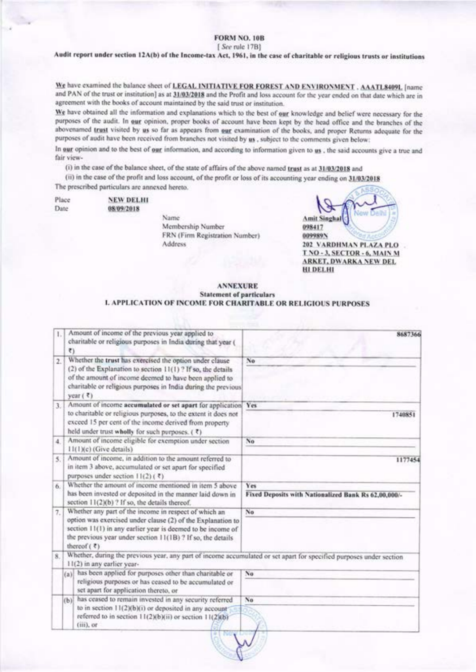# **FORM NO. 10B**

#### [See rule 17B]

Audit report under section 12A(b) of the Income-tax Act, 1961, in the case of charitable or religious trusts or institutions

We have examined the balance sheet of LEGAL INITIATIVE FOR FOREST AND ENVIRONMENT . AAATL8409L [name and PAN of the trust or institution] as at 31/03/2018 and the Profit and loss account for the year ended on that date which are in agreement with the books of account maintained by the said trust or institution.

We have obtained all the information and explanations which to the best of our knowledge and belief were necessary for the purposes of the audit. In our opinion, proper books of account have been kept by the head office and the branches of the abovenamed trust visited by us so far as appears from our examination of the books, and proper Returns adequate for the purposes of audit have been received from branches not visited by us, subject to the comments given below:

In our opinion and to the best of our information, and according to information given to us, the said accounts give a true and fair view-

(i) in the case of the balance sheet, of the state of affairs of the above named trust as at 31/03/2018 and

(ii) in the case of the profit and loss account, of the profit or loss of its accounting year ending on 31/03/2018 The prescribed particulars are annexed hereto.

| Place | <b>NEW DELHI</b> |
|-------|------------------|
| Date  | 08/09/2018       |

Name Membership Number FRN (Firm Registration Number) Address

| 202 VARDHMAN PLAZA PLO       |
|------------------------------|
| T.NO - 3, SECTOR - 6, MAIN M |
| <b>ARKET, DWARKA NEW DEL</b> |
| HI DEL HI                    |

#### **ANNEXURE Statement of particulars L APPLICATION OF INCOME FOR CHARITABLE OR RELIGIOUS PURPOSES**

| T.               | $\overline{\tau}$                                                                                                                                     | Amount of income of the previous year applied to<br>charitable or religious purposes in India during that year (                                                                                                                                                   | 8687366                                                     |
|------------------|-------------------------------------------------------------------------------------------------------------------------------------------------------|--------------------------------------------------------------------------------------------------------------------------------------------------------------------------------------------------------------------------------------------------------------------|-------------------------------------------------------------|
| $\overline{2}$ . |                                                                                                                                                       | Whether the trust has exercised the option under clause<br>(2) of the Explanation to section 11(1)? If so, the details<br>of the amount of income deemed to have been applied to<br>charitable or religious purposes in India during the previous<br>year $(3)$    | No                                                          |
| 3.               |                                                                                                                                                       | Amount of income accumulated or set apart for application Yes<br>to charitable or religious purposes, to the extent it does not<br>exceed 15 per cent of the income derived from property<br>held under trust wholly for such purposes. (₹)                        | 1740851                                                     |
| 4.               |                                                                                                                                                       | Amount of income eligible for exemption under section<br>11(1)(c) (Give details)                                                                                                                                                                                   | No                                                          |
| 5.               | Amount of income, in addition to the amount referred to<br>in item 3 above, accumulated or set apart for specified<br>purposes under section 11(2)(₹) |                                                                                                                                                                                                                                                                    | 1177454                                                     |
| 6.               |                                                                                                                                                       | Whether the amount of income mentioned in item 5 above<br>has been invested or deposited in the manner laid down in<br>section 11(2)(b) ? If so, the details thereof.                                                                                              | Yes<br>Fixed Deposits with Nationalized Bank Rs 62,00,000/- |
| 7.               |                                                                                                                                                       | Whether any part of the income in respect of which an<br>option was exercised under clause (2) of the Explanation to<br>section 11(1) in any earlier year is deemed to be income of<br>the previous year under section 11(1B)? If so, the details<br>thereof $(7)$ | No                                                          |
| 8.               |                                                                                                                                                       | Whether, during the previous year, any part of income accumulated or set apart for specified purposes under section<br>11(2) in any earlier year-                                                                                                                  |                                                             |
|                  |                                                                                                                                                       | (a) has been applied for purposes other than charitable or<br>religious purposes or has ceased to be accumulated or<br>set apart for application thereto, or                                                                                                       | No                                                          |
|                  |                                                                                                                                                       | (b) has ceased to remain invested in any security referred<br>to in section 11(2)(b)(i) or deposited in any account<br>referred to in section 11(2)(b)(ii) or section 11(2)(b)<br>$(iii)$ , or                                                                     | No                                                          |